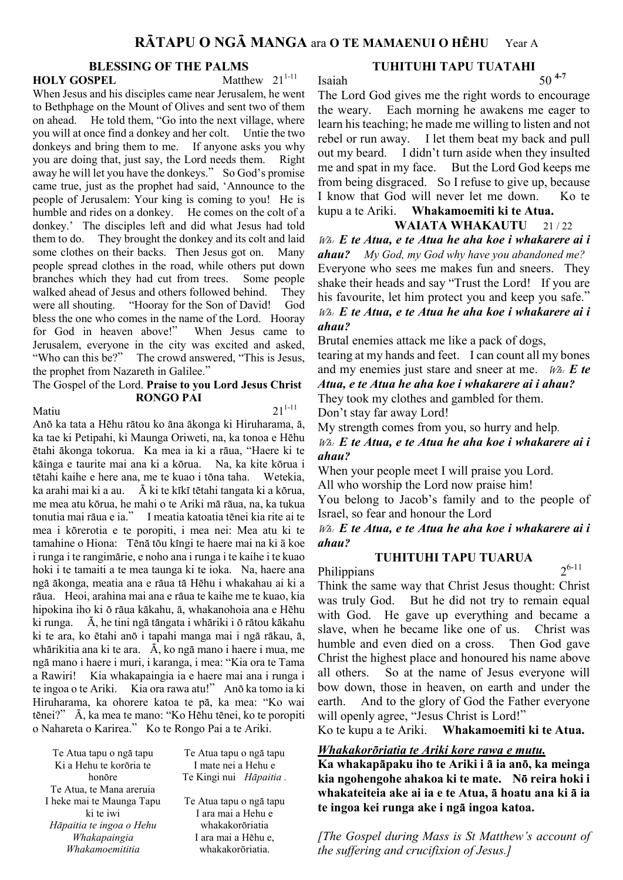# **BLESSING OF THE PALMS**<br>SPEL Matthew 21<sup>1-11</sup>

**HOLY GOSPEL** 

When Jesus and his disciples came near Jerusalem, he went to Bethphage on the Mount of Olives and sent two of them on ahead. He told them, "Go into the next village, where you will at once find a donkey and her colt. Untie the two donkeys and bring them to me. If anyone asks you why you are doing that, just say, the Lord needs them. Right away he will let you have the donkeys." So God's promise came true, just as the prophet had said, 'Announce to the people of Jerusalem: Your king is coming to you! He is humble and rides on a donkey. He comes on the colt of a donkey.' The disciples left and did what Jesus had told them to do. They brought the donkey and its colt and laid some clothes on their backs. Then Jesus got on. Many people spread clothes in the road, while others put down branches which they had cut from trees. Some people walked ahead of Jesus and others followed behind. They were all shouting. "Hooray for the Son of David! God bless the one who comes in the name of the Lord. Hooray for God in heaven above!" When Jesus came to Jerusalem, everyone in the city was excited and asked, "Who can this be?" The crowd answered, "This is Jesus, the prophet from Nazareth in Galilee."

#### The Gospel of the Lord. Praise to you Lord Jesus Christ RONGO PAI

### Matiu  $21^{1-11}$

Anö ka tata a Hëhu rätou ko äna äkonga ki Hiruharama, ä, ka tae ki Petipahi, ki Maunga Oriweti, na, ka tonoa e Hëhu ëtahi äkonga tokorua. Ka mea ia ki a räua, "Haere ki te käinga e taurite mai ana ki a körua. Na, ka kite körua i tëtahi kaihe e here ana, me te kuao i töna taha. Wetekia, ka arahi mai ki a au. Ä ki te kïkï tëtahi tangata ki a körua, me mea atu körua, he mahi o te Ariki mä räua, na, ka tukua tonutia mai räua e ia." I meatia katoatia tënei kia rite ai te mea i körerotia e te poropiti, i mea nei: Mea atu ki te tamahine o Hiona: Tënä töu kïngi te haere mai na ki ā koe i runga i te rangimärie, e noho ana i runga i te kaihe i te kuao hoki i te tamaiti a te mea taunga ki te ioka. Na, haere ana ngä äkonga, meatia ana e räua tä Hëhu i whakahau ai ki a räua. Heoi, arahina mai ana e räua te kaihe me te kuao, kia hipokina iho ki ö räua käkahu, ä, whakanohoia ana e Hëhu ki runga. Ä, he tini ngä tängata i whäriki i ö rätou käkahu ki te ara, ko ëtahi anö i tapahi manga mai i ngä räkau, ä, whärikitia ana ki te ara. Ä, ko ngä mano i haere i mua, me ngä mano i haere i muri, i karanga, i mea: "Kia ora te Tama a Rawiri! Kia whakapaingia ia e haere mai ana i runga i te ingoa o te Ariki. Kia ora rawa atu!" Anö ka tomo ia ki Hiruharama, ka ohorere katoa te pä, ka mea: "Ko wai tënei?" Ä, ka mea te mano: "Ko Hëhu tënei, ko te poropiti o Nahareta o Karirea." Ko te Rongo Pai a te Ariki.

Te Atua tapu o ngä tapu Ki a Hehu te koröria te honöre Te Atua, te Mana areruia I heke mai te Maunga Tapu ki te iwi Häpaitia te ingoa o Hehu Whakapaingia Whakamoemititia

Te Atua tapu o ngä tapu I ara mai a Hehu e whakakoröriatia I ara mai a Hëhu e, whakakorōriatia.

Te Atua tapu o ngä tapu I mate nei a Hehu e Te Kingi nui Hāpaitia.

# TUHITUHI TAPU TUATAHI Isaiah  $50^{4-7}$

The Lord God gives me the right words to encourage the weary. Each morning he awakens me eager to learn his teaching; he made me willing to listen and not rebel or run away. I let them beat my back and pull out my beard. I didn't turn aside when they insulted me and spat in my face. But the Lord God keeps me from being disgraced. So I refuse to give up, because I know that God will never let me down. Ko te kupu a te Ariki. Whakamoemiti ki te Atua.

### WAIATA WHAKAUTU 21/22

Wh: E te Atua, e te Atua he aha koe i whakarere ai i **ahau?** My God, my God why have you abandoned me? Everyone who sees me makes fun and sneers. They shake their heads and say "Trust the Lord! If you are his favourite, let him protect you and keep you safe."  $W_{\mathcal{A}}$ . E te Atua, e te Atua he aha koe i whakarere ai i ahau?

Brutal enemies attack me like a pack of dogs,

tearing at my hands and feet. I can count all my bones and my enemies just stare and sneer at me.  $W_{A}$ . E te

Atua, e te Atua he aha koe i whakarere ai i ahau? They took my clothes and gambled for them.

Don't stay far away Lord!

My strength comes from you, so hurry and help.

# $W_{\mathcal{A}}$ . E te Atua, e te Atua he aha koe i whakarere ai i ahau?

When your people meet I will praise you Lord.

All who worship the Lord now praise him!

You belong to Jacob's family and to the people of Israel, so fear and honour the Lord

### $W_{\mathcal{A}}$ . E te Atua, e te Atua he aha koe i whakarere ai i ahau?

### TUHITUHI TAPU TUARUA

 $2^{6-11}$ 

**Philippians** Think the same way that Christ Jesus thought: Christ was truly God. But he did not try to remain equal with God. He gave up everything and became a slave, when he became like one of us. Christ was humble and even died on a cross. Then God gave Christ the highest place and honoured his name above all others. So at the name of Jesus everyone will bow down, those in heaven, on earth and under the earth. And to the glory of God the Father everyone will openly agree, "Jesus Christ is Lord!"

Ko te kupu a te Ariki. Whakamoemiti ki te Atua.

#### Whakakoröriatia te Ariki kore rawa e mutu.

Ka whakapäpaku iho te Ariki i ä ia anö, ka meinga kia ngohengohe ahakoa ki te mate. Nö reira hoki i whakateiteia ake ai ia e te Atua, ä hoatu ana ki ä ia te ingoa kei runga ake i ngä ingoa katoa.

[The Gospel during Mass is St Matthew's account of the suffering and crucifixion of Jesus.]